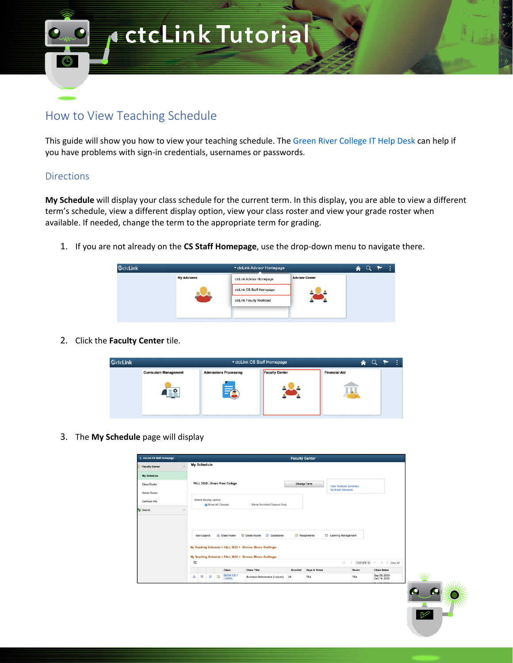

## How to View Teaching Schedule

This guide will show you how to view your teaching schedule. The Green River College IT Help Desk can help if you have problems with sign-in credentials, usernames or passwords.

## Directions

**My Schedule** will display your class schedule for the current term. In this display, you are able to view a different term's schedule, view a different display option, view your class roster and view your grade roster when available. If needed, change the term to the appropriate term for grading.

1. If you are not already on the **CS Staff Homepage**, use the drop-down menu to navigate there.

| <b>SctcLink</b> | ▼ ctcLink Advisor Homepage |                           |                       |  |  |  | $Q \rightarrow$ |
|-----------------|----------------------------|---------------------------|-----------------------|--|--|--|-----------------|
|                 | <b>My Advisees</b>         |                           | <b>Advisor Center</b> |  |  |  |                 |
|                 | $\overline{\phantom{a}}$   | ctcLink CS Staff Homepage |                       |  |  |  |                 |
|                 |                            | ctcLink Faculty Workload  |                       |  |  |  |                 |
|                 |                            |                           |                       |  |  |  |                 |
|                 |                            |                           |                       |  |  |  |                 |

2. Click the **Faculty Center** tile.



3. The **My Schedule** page will display

| <b>C</b> ctcLink CS Staff Homepage |                                                                                                                                                                               | <b>Faculty Center</b>    |                                                             |                    |
|------------------------------------|-------------------------------------------------------------------------------------------------------------------------------------------------------------------------------|--------------------------|-------------------------------------------------------------|--------------------|
| <b>Faculty Center</b>              | My Schedule<br>$\sim$                                                                                                                                                         |                          |                                                             |                    |
| My Schedule                        |                                                                                                                                                                               |                          |                                                             |                    |
| Class Roster                       | FALL 2020   Green River College                                                                                                                                               | <b>Change Term</b>       | View Textbook Summary                                       |                    |
| Grade Roster                       |                                                                                                                                                                               |                          | My Exam Schedule                                            |                    |
| Contract Info                      | Select display option<br>Show Enrolled Classes Only<br>Show All Classes                                                                                                       |                          |                                                             |                    |
| Search                             | $\checkmark$                                                                                                                                                                  |                          |                                                             |                    |
|                                    |                                                                                                                                                                               |                          |                                                             |                    |
|                                    | Grade Roster<br><b>A</b> Class Roster<br>Icon Legend<br>My Teaching Schedule > FALL 2020 > Green River College<br>My Teaching Schedule > FALL 2020 > Green River College<br>冊 | Gradebook<br>Assignments | <b>Ed Learning Management</b><br>$1-6$ of 6 $0$<br>14.<br>÷ | <b>New All</b>     |
|                                    | <b>Class Title</b><br><b>Class</b>                                                                                                                                            | Days & Times<br>Enrolled | Room                                                        | <b>Class Dates</b> |

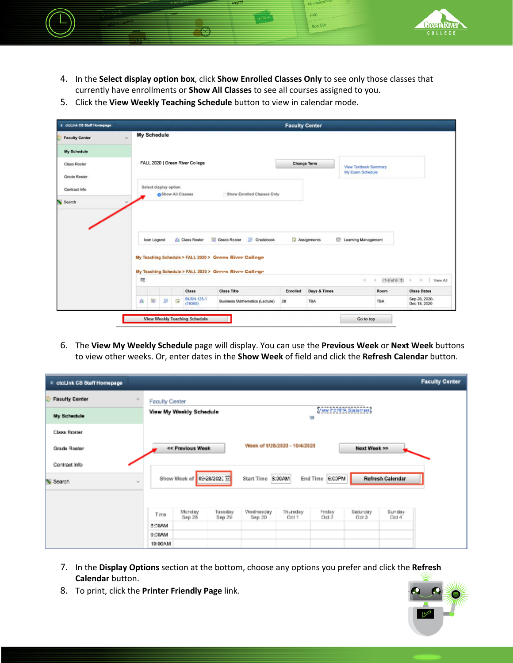

4. In the **Select display option box**, click **Show Enrolled Classes Only** to see only those classes that currently have enrollments or **Show All Classes** to see all courses assigned to you.

**TATO** Sign Out

5. Click the **View Weekly Teaching Schedule** button to view in calendar mode.

| <b>C</b> ctcLink CS Staff Homepage | <b>Faculty Center</b>                                                                                                                                                                                                                  |                                 |                    |
|------------------------------------|----------------------------------------------------------------------------------------------------------------------------------------------------------------------------------------------------------------------------------------|---------------------------------|--------------------|
| $\sim$<br><b>Faculty Center</b>    | My Schedule                                                                                                                                                                                                                            |                                 |                    |
| My Schedule                        |                                                                                                                                                                                                                                        |                                 |                    |
| Class Roster                       | FALL 2020   Green River College<br><b>Change Term</b><br><b>View Textbook Summary</b>                                                                                                                                                  |                                 |                    |
| Grade Roster                       | My Exam Schedule                                                                                                                                                                                                                       |                                 |                    |
| Contract Info                      | Select display option<br>Show Enrolled Classes Only<br><b>O</b> Show All Classes                                                                                                                                                       |                                 |                    |
|                                    |                                                                                                                                                                                                                                        |                                 |                    |
| Search<br>$\omega$                 |                                                                                                                                                                                                                                        |                                 |                    |
|                                    | Gradebook<br>Grade Roster<br><b>A</b> Class Roster<br>Resignments<br>Learning Management<br>loon Legend<br>My Teaching Schedule > FALL 2020 > Green River College<br>My Teaching Schedule > FALL 2020 > Green River College<br>冊<br> A | $1-6$ of 6 $\frac{4}{9}$  <br>d | > View All         |
|                                    | <b>Class</b><br><b>Class Title</b><br>Days & Times<br>Enrolled                                                                                                                                                                         | Room                            | <b>Class Dates</b> |

6. The **View My Weekly Schedule** page will display. You can use the **Previous Week** or **Next Week** buttons to view other weeks. Or, enter dates in the **Show Week** of field and click the **Refresh Calendar** button.

| < etcl.ink CS Staff Homepage |                           |                          |                     |                               |                 |                 |                  | <b>Faculty Center</b> |
|------------------------------|---------------------------|--------------------------|---------------------|-------------------------------|-----------------|-----------------|------------------|-----------------------|
| <b>Faculty Center</b><br>A.  | <b>Faculty Center</b>     |                          |                     |                               |                 |                 |                  |                       |
| My Schedule                  | View My Weekly Schedule   | Vaw FERPA Statement<br>₽ |                     |                               |                 |                 |                  |                       |
| <b>Class Roster</b>          |                           |                          |                     |                               |                 |                 |                  |                       |
| Grade Roster                 | << Previous Week          |                          |                     | Week of 9/28/2020 - 10/4/2020 |                 | Next Week >>    |                  |                       |
| Contract info                |                           |                          |                     |                               |                 |                 |                  |                       |
| Search<br>$\mathcal{A}$      | Show Week of 09:28/2020 首 |                          | Start Time 5:00AM   |                               | End Time 6:00PM |                 | Refresh Calendar |                       |
|                              |                           |                          |                     |                               |                 |                 |                  |                       |
|                              | Monday<br>Tme<br>Sep 26   | Tuesday<br>Sep 29        | Wednesday<br>Sep 30 | Thuraday<br>Oct 1             | Friday<br>Del 2 | Setunday<br>043 | Sunday<br>Oct 4  |                       |
|                              | 8:00AM                    |                          |                     |                               |                 |                 |                  |                       |
|                              | 9:00AM                    |                          |                     |                               |                 |                 |                  |                       |
|                              | 10:00AM                   |                          |                     |                               |                 |                 |                  |                       |

- 7. In the **Display Options** section at the bottom, choose any options you prefer and click the **Refresh Calendar** button.
- 8. To print, click the **Printer Friendly Page** link.

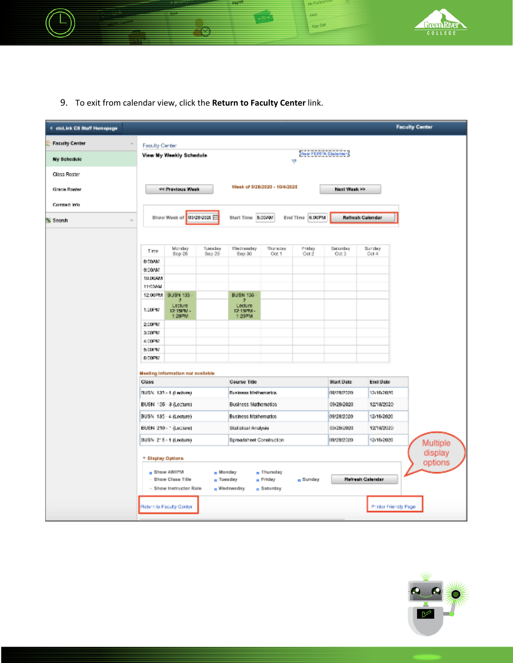

9. To exit from calendar view, click the **Return to Faculty Center** link.

Œ

| < etcl.ink CS Staff Homepage |                         |                                              |                   |                             |                                                |                      |                    |                       | <b>Faculty Center</b> |
|------------------------------|-------------------------|----------------------------------------------|-------------------|-----------------------------|------------------------------------------------|----------------------|--------------------|-----------------------|-----------------------|
| <b>Faculty Center</b><br>×   | Faculty Center          |                                              |                   |                             |                                                |                      |                    |                       |                       |
| My Schedule                  | View My Weekly Schedule |                                              |                   | View FERPA Stellenent<br>T, |                                                |                      |                    |                       |                       |
| Class Roster                 |                         |                                              |                   |                             |                                                |                      |                    |                       |                       |
| Grade Roster                 | << Previous Week        |                                              |                   |                             | Week of \$(28/2020 - 10/4/2020<br>Next Week >> |                      |                    |                       |                       |
| Contract Info.               |                         |                                              |                   |                             |                                                |                      |                    |                       |                       |
| Search                       |                         | Show Week of 01/28/2020 [1]                  |                   | Start Time S:00AM           |                                                | End Time 6.00PM      |                    | Refresh Calendar      |                       |
|                              |                         |                                              |                   |                             |                                                |                      |                    |                       |                       |
|                              | Time                    | Monday<br>Sep 28                             | Tuesday<br>Sep 29 | Wednesday<br>Sep 30         | Thuraday<br>Oot 1                              | Friday<br>Cot 2      | Seturday<br>O(8.3) | Sunday<br>Ool 4       |                       |
|                              | 0:00AM                  |                                              |                   |                             |                                                |                      |                    |                       |                       |
|                              | 9:DO/M/                 |                                              |                   |                             |                                                |                      |                    |                       |                       |
|                              | 10.00465                |                                              |                   |                             |                                                |                      |                    |                       |                       |
|                              | 11:00AM<br>12.00PM      | BUSN 135                                     |                   | <b>BUSN 136</b>             |                                                |                      |                    |                       |                       |
|                              | 1:00PM                  | Lecture<br>12:15PM -                         |                   | э<br>Lecture<br>12:15PM -   |                                                |                      |                    |                       |                       |
|                              | 2:00PM                  | 1:20PM                                       |                   | 1:20 PM                     |                                                |                      |                    |                       |                       |
|                              | 3:00PM                  |                                              |                   |                             |                                                |                      |                    |                       |                       |
|                              | 4:00PM                  |                                              |                   |                             |                                                |                      |                    |                       |                       |
|                              | <b>SCOUTIV</b>          |                                              |                   |                             |                                                |                      |                    |                       |                       |
|                              | 6:00PM                  |                                              |                   |                             |                                                |                      |                    |                       |                       |
|                              |                         | Meeting Information not available            |                   |                             |                                                |                      |                    |                       |                       |
|                              | Class                   |                                              |                   | <b>Course Title</b>         |                                                |                      | <b>Start Date</b>  | End Date              |                       |
|                              |                         | RUSN 135-1 (Lecture)                         |                   | Business Mathematics.       |                                                |                      | 09/28/2020         | 12/15/2020            |                       |
|                              |                         | BUSN 135 - 3 (Lecture)                       |                   | Business Mathematics        |                                                |                      | 09/28/2020         | 1218/2020             |                       |
|                              |                         | BUSN 135 - 4 (Lecture)                       |                   | Business Mathematics        |                                                |                      | 09/28/2020         | 12/18/2020            |                       |
|                              |                         | BUSN 210 - ' (Lecture)                       |                   | Statistical Analysis        |                                                |                      | 09/28/2020         | 12/18/2020            |                       |
|                              |                         | BUSN 218-1 (Lecture)                         |                   | Spreadsheet Construction    |                                                |                      | 09/28/2020         | 12/18/2020            | Multiple              |
|                              | * Display Options       |                                              |                   |                             |                                                |                      |                    |                       | display               |
|                              |                         | Bhow AMIPM                                   |                   | <sub>m</sub> Monday         | R Thursday                                     |                      |                    |                       | options               |
|                              |                         | - Show Class Title<br>- Show Instructor Role |                   | n Tuesday<br>R Wednesday    | R Priday<br>R Saturday                         | <sub>ra</sub> Sunday |                    | Refresh Calendar      |                       |
|                              |                         | Return to Faculty Center                     |                   |                             |                                                |                      |                    | Printer Friendly Page |                       |
|                              |                         |                                              |                   |                             |                                                |                      |                    |                       |                       |

My F gisip Sign Out